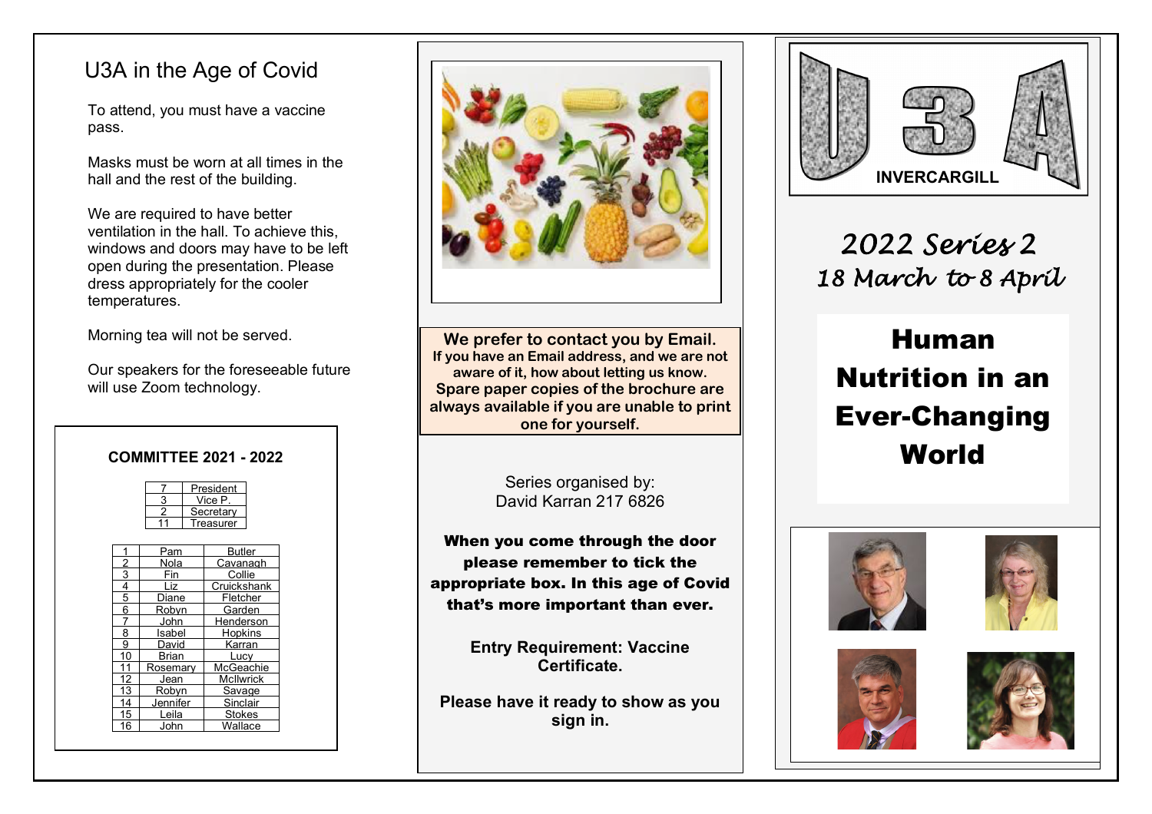# U3A in the Age of Covid

To attend, you must have a vaccine pass.

Masks must be worn at all times in the hall and the rest of the building.

We are required to have better ventilation in the hall. To achieve this, windows and doors may have to be left open during the presentation. Please dress appropriately for the cooler temperatures.

Morning tea will not be served.

Our speakers for the foreseeable future will use Zoom technology.

| <b>COMMITTEE 2021 - 2022</b>                 |                                       | <b>World</b> |
|----------------------------------------------|---------------------------------------|--------------|
| President                                    | Series organised by:                  |              |
| Vice P.<br>Secretary                         | David Karran 217 6826                 |              |
| Treasurer                                    | When you come through the door        |              |
| Pam<br>Butler<br>Nola<br>Cavanaɑh            | please remember to tick the           |              |
| 3<br>Collie<br>Fin                           |                                       |              |
| Cruickshank<br>Liz                           | appropriate box. In this age of Covid |              |
| 5<br>Fletcher<br>Diane                       |                                       |              |
| 6<br>Garden<br>Robvn                         | that's more important than ever.      |              |
| John<br>Henderson                            |                                       |              |
| 8<br>Isabel<br><b>Hopkins</b>                |                                       |              |
| 9<br>Karran<br>David                         | <b>Entry Requirement: Vaccine</b>     |              |
| 10<br>Brian<br>Lucv<br>AcGeachie<br>Rosemary | Certificate.                          |              |
| McIlwrick<br>Jean                            |                                       |              |
| Robvn<br>Savage                              |                                       |              |
| 14<br>Sinclair<br>Jennifer                   | Please have it ready to show as you   |              |
| Stokes<br>Leila<br>15                        | aige in                               |              |

16 John Wallace



**We prefer to contact you by Email. If you have an Email address, and we are not aware of it, how about letting us know. Spare paper copies of the brochure are always available if you are unable to print one for yourself.**

**Please have it ready to show as you sign in.**

 $\overline{a}$ 



*2022 Series 2 18 March to 8 April* 

# Human  Nutrition in an Ever-Changing